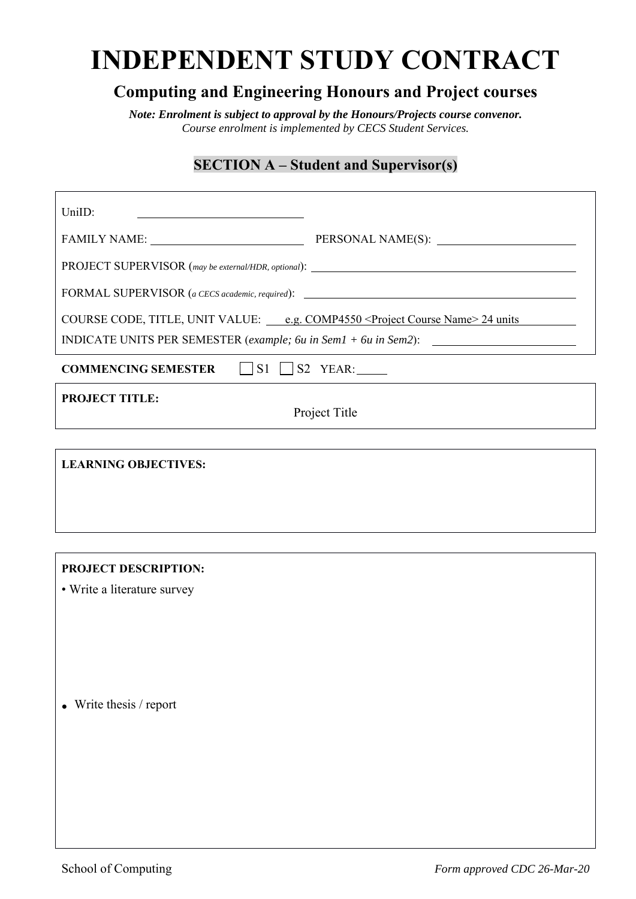# **INDEPENDENT STUDY CONTRACT**

## **Computing and Engineering Honours and Project courses**

*Note: Enrolment is subject to approval by the Honours/Projects course convenor. Course enrolment is implemented by CECS Student Services.*

## **SECTION A – Student and Supervisor(s)**

| UniID:                                                                                             |  |  |  |  |  |
|----------------------------------------------------------------------------------------------------|--|--|--|--|--|
|                                                                                                    |  |  |  |  |  |
| PROJECT SUPERVISOR (may be external/HDR, optional): _____________________________                  |  |  |  |  |  |
| FORMAL SUPERVISOR (a CECS academic, required): __________________________________                  |  |  |  |  |  |
| COURSE CODE, TITLE, UNIT VALUE: _____ e.g. COMP4550 <project course="" name=""> 24 units</project> |  |  |  |  |  |
| INDICATE UNITS PER SEMESTER (example; 6u in Sem1 + 6u in Sem2):                                    |  |  |  |  |  |
| <b>COMMENCING SEMESTER</b> $\Box$ S1 $\Box$ S2 YEAR:                                               |  |  |  |  |  |
| <b>PROJECT TITLE:</b><br>Project Title                                                             |  |  |  |  |  |
|                                                                                                    |  |  |  |  |  |
| <b>LEARNING OBJECTIVES:</b>                                                                        |  |  |  |  |  |
|                                                                                                    |  |  |  |  |  |
|                                                                                                    |  |  |  |  |  |

#### **PROJECT DESCRIPTION:**

• Write a literature survey

**.** Write thesis / report